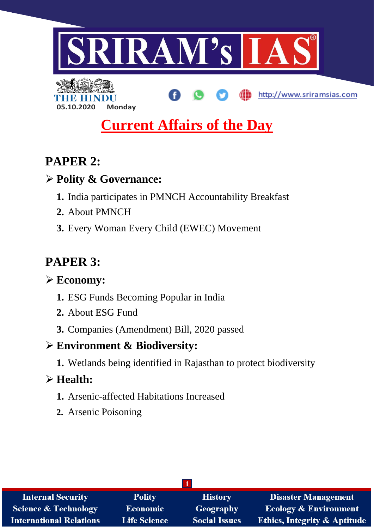

# **Current Affairs of the Day**

# **PAPER 2:**

## **Polity & Governance:**

**05.10.2020 Monday**

- **1.** India participates in PMNCH Accountability Breakfast
- **2.** About PMNCH
- **3.** Every Woman Every Child (EWEC) Movement

# **PAPER 3:**

## **Economy:**

- **1.** ESG Funds Becoming Popular in India
- **2.** About ESG Fund
- **3.** Companies (Amendment) Bill, 2020 passed

## **Environment & Biodiversity:**

**1.** Wetlands being identified in Rajasthan to protect biodiversity

## **Health:**

- **1.** Arsenic-affected Habitations Increased
- **2.** Arsenic Poisoning

| <b>Internal Security</b>        | <b>Polity</b>       | <b>History</b>       | <b>Disaster Management</b>              |
|---------------------------------|---------------------|----------------------|-----------------------------------------|
| <b>Science &amp; Technology</b> | <b>Economic</b>     | Geography            | <b>Ecology &amp; Environment</b>        |
| International Relations         | <b>Life Science</b> | <b>Social Issues</b> | <b>Ethics, Integrity &amp; Aptitude</b> |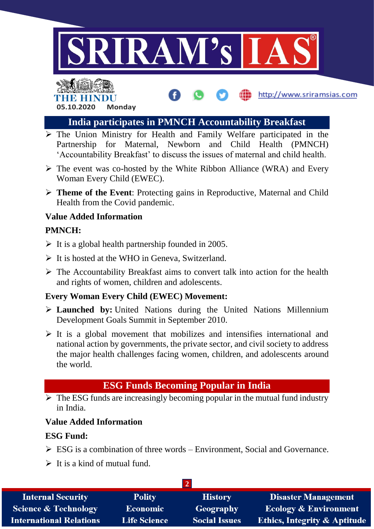





- $\triangleright$  The Union Ministry for Health and Family Welfare participated in the Partnership for Maternal, Newborn and Child Health (PMNCH) 'Accountability Breakfast' to discuss the issues of maternal and child health.
- $\triangleright$  The event was co-hosted by the White Ribbon Alliance (WRA) and Every Woman Every Child (EWEC).
- **Theme of the Event**: Protecting gains in Reproductive, Maternal and Child Health from the Covid pandemic.

#### **Value Added Information**

#### **PMNCH:**

- $\triangleright$  It is a global health partnership founded in 2005.
- $\triangleright$  It is hosted at the WHO in Geneva, Switzerland.
- $\triangleright$  The Accountability Breakfast aims to convert talk into action for the health and rights of women, children and adolescents.

## **Every Woman Every Child (EWEC) Movement:**

- **Launched by:** United Nations during the United Nations Millennium Development Goals Summit in September 2010.
- $\triangleright$  It is a global movement that mobilizes and intensifies international and national action by governments, the private sector, and civil society to address the major health challenges facing women, children, and adolescents around the world.

## **ESG Funds Becoming Popular in India**

 $\triangleright$  The ESG funds are increasingly becoming popular in the mutual fund industry in India.

## **Value Added Information**

## **ESG Fund:**

- $\triangleright$  ESG is a combination of three words Environment, Social and Governance.
- $\triangleright$  It is a kind of mutual fund.

| <b>Internal Security</b>        | <b>Polity</b>       | <b>History</b>       | <b>Disaster Management</b>              |  |
|---------------------------------|---------------------|----------------------|-----------------------------------------|--|
| <b>Science &amp; Technology</b> | <b>Economic</b>     | Geography            | <b>Ecology &amp; Environment</b>        |  |
| <b>International Relations</b>  | <b>Life Science</b> | <b>Social Issues</b> | <b>Ethics, Integrity &amp; Aptitude</b> |  |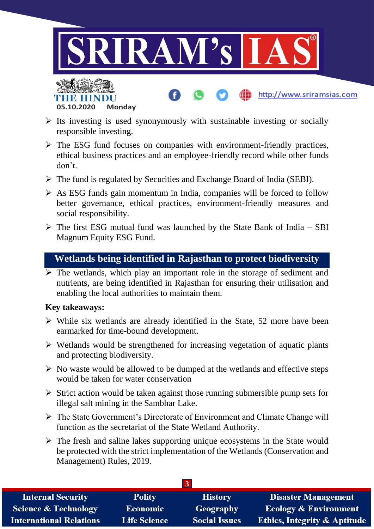



- $\triangleright$  The ESG fund focuses on companies with environment-friendly practices, ethical business practices and an employee-friendly record while other funds don't.
- The fund is regulated by Securities and Exchange Board of India (SEBI).
- $\triangleright$  As ESG funds gain momentum in India, companies will be forced to follow better governance, ethical practices, environment-friendly measures and social responsibility.
- $\triangleright$  The first ESG mutual fund was launched by the State Bank of India SBI Magnum Equity ESG Fund.

## **Wetlands being identified in Rajasthan to protect biodiversity**

 $\triangleright$  The wetlands, which play an important role in the storage of sediment and nutrients, are being identified in Rajasthan for ensuring their utilisation and enabling the local authorities to maintain them.

#### **Key takeaways:**

**05.10.2020 Monday**

THE RELEASE

- $\triangleright$  While six wetlands are already identified in the State, 52 more have been earmarked for time-bound development.
- $\triangleright$  Wetlands would be strengthened for increasing vegetation of aquatic plants and protecting biodiversity.
- $\triangleright$  No waste would be allowed to be dumped at the wetlands and effective steps would be taken for water conservation
- $\triangleright$  Strict action would be taken against those running submersible pump sets for illegal salt mining in the Sambhar Lake.
- The State Government's Directorate of Environment and Climate Change will function as the secretariat of the State Wetland Authority.
- $\triangleright$  The fresh and saline lakes supporting unique ecosystems in the State would be protected with the strict implementation of the Wetlands (Conservation and Management) Rules, 2019.

| <b>Internal Security</b>        | <b>Polity</b>       | <b>History</b>       | <b>Disaster Management</b>              |  |
|---------------------------------|---------------------|----------------------|-----------------------------------------|--|
| <b>Science &amp; Technology</b> | <b>Economic</b>     | Geography            | <b>Ecology &amp; Environment</b>        |  |
| <b>International Relations</b>  | <b>Life Science</b> | <b>Social Issues</b> | <b>Ethics, Integrity &amp; Aptitude</b> |  |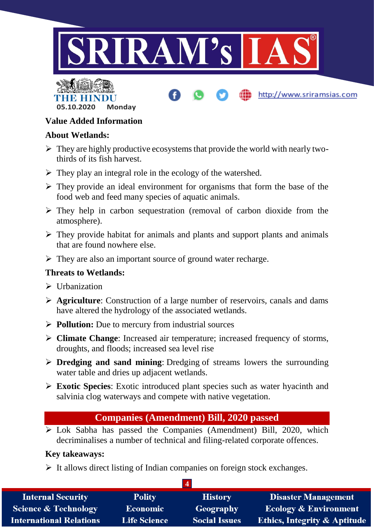



## **Value Added Information**

## **About Wetlands:**

- $\triangleright$  They are highly productive ecosystems that provide the world with nearly twothirds of its fish harvest.
- $\triangleright$  They play an integral role in the ecology of the watershed.
- $\triangleright$  They provide an ideal environment for organisms that form the base of the food web and feed many species of aquatic animals.
- $\triangleright$  They help in carbon sequestration (removal of carbon dioxide from the atmosphere).
- $\triangleright$  They provide habitat for animals and plants and support plants and animals that are found nowhere else.
- $\triangleright$  They are also an important source of ground water recharge.

## **Threats to Wetlands:**

- $\triangleright$  Urbanization
- **Agriculture**: Construction of a large number of reservoirs, canals and dams have altered the hydrology of the associated wetlands.
- **Pollution:** Due to mercury from industrial sources
- **Climate Change**: Increased air temperature; increased frequency of storms, droughts, and floods; increased sea level rise
- **Dredging and sand mining**: Dredging of streams lowers the surrounding water table and dries up adjacent wetlands.
- **Exotic Species**: Exotic introduced plant species such as water hyacinth and salvinia clog waterways and compete with native vegetation.

## **Companies (Amendment) Bill, 2020 passed**

 Lok Sabha has passed the Companies (Amendment) Bill, 2020, which decriminalises a number of technical and filing-related corporate offences.

## **Key takeaways:**

 $\triangleright$  It allows direct listing of Indian companies on foreign stock exchanges.

| <b>Internal Security</b>        | <b>Polity</b>       | <b>History</b>       | <b>Disaster Management</b>              |  |
|---------------------------------|---------------------|----------------------|-----------------------------------------|--|
| <b>Science &amp; Technology</b> | <b>Economic</b>     | Geography            | <b>Ecology &amp; Environment</b>        |  |
| <b>International Relations</b>  | <b>Life Science</b> | <b>Social Issues</b> | <b>Ethics, Integrity &amp; Aptitude</b> |  |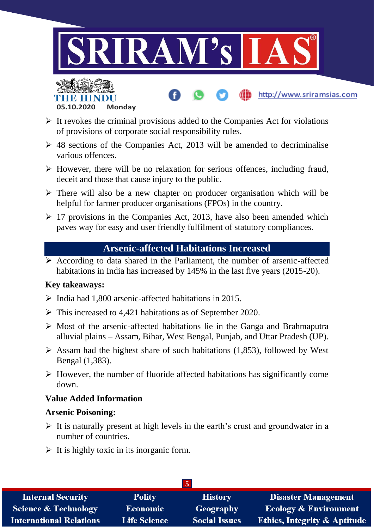



- $\triangleright$  It revokes the criminal provisions added to the Companies Act for violations of provisions of corporate social responsibility rules.
- $\geq$  48 sections of the Companies Act, 2013 will be amended to decriminalise various offences.
- $\triangleright$  However, there will be no relaxation for serious offences, including fraud, deceit and those that cause injury to the public.
- $\triangleright$  There will also be a new chapter on producer organisation which will be helpful for farmer producer organisations (FPOs) in the country.
- $\geq$  17 provisions in the Companies Act, 2013, have also been amended which paves way for easy and user friendly fulfilment of statutory compliances.

## **Arsenic-affected Habitations Increased**

 $\triangleright$  According to data shared in the Parliament, the number of arsenic-affected habitations in India has increased by 145% in the last five years (2015-20).

#### **Key takeaways:**

- $\triangleright$  India had 1,800 arsenic-affected habitations in 2015.
- $\triangleright$  This increased to 4,421 habitations as of September 2020.
- $\triangleright$  Most of the arsenic-affected habitations lie in the Ganga and Brahmaputra alluvial plains – Assam, Bihar, West Bengal, Punjab, and Uttar Pradesh (UP).
- $\triangleright$  Assam had the highest share of such habitations (1,853), followed by West Bengal (1,383).
- $\triangleright$  However, the number of fluoride affected habitations has significantly come down.

## **Value Added Information**

#### **Arsenic Poisoning:**

- $\triangleright$  It is naturally present at high levels in the earth's crust and groundwater in a number of countries.
- $\triangleright$  It is highly toxic in its inorganic form.

| $\overline{5}$                  |                     |                      |                                         |
|---------------------------------|---------------------|----------------------|-----------------------------------------|
| <b>Internal Security</b>        | <b>Polity</b>       | <b>History</b>       | <b>Disaster Management</b>              |
| <b>Science &amp; Technology</b> | <b>Economic</b>     | Geography            | <b>Ecology &amp; Environment</b>        |
| <b>International Relations</b>  | <b>Life Science</b> | <b>Social Issues</b> | <b>Ethics, Integrity &amp; Aptitude</b> |